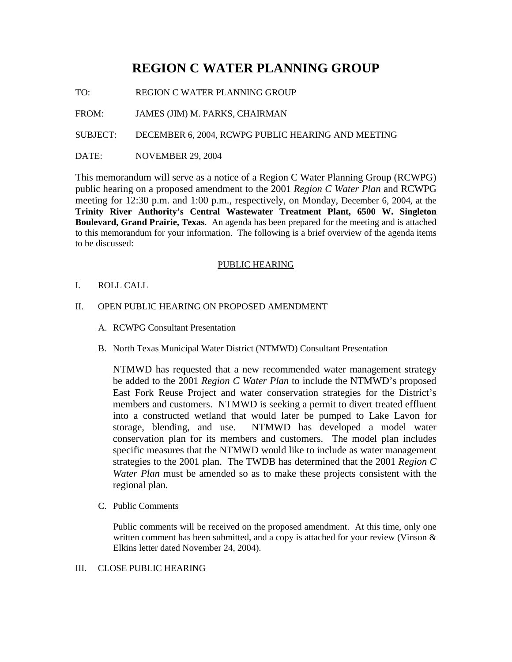# **REGION C WATER PLANNING GROUP**

TO: REGION C WATER PLANNING GROUP

FROM: JAMES (JIM) M. PARKS, CHAIRMAN

SUBJECT: DECEMBER 6, 2004, RCWPG PUBLIC HEARING AND MEETING

DATE: NOVEMBER 29, 2004

This memorandum will serve as a notice of a Region C Water Planning Group (RCWPG) public hearing on a proposed amendment to the 2001 *Region C Water Plan* and RCWPG meeting for 12:30 p.m. and 1:00 p.m., respectively, on Monday, December 6, 2004, at the **Trinity River Authority's Central Wastewater Treatment Plant, 6500 W. Singleton Boulevard, Grand Prairie, Texas**. An agenda has been prepared for the meeting and is attached to this memorandum for your information. The following is a brief overview of the agenda items to be discussed:

# PUBLIC HEARING

- I. ROLL CALL
- II. OPEN PUBLIC HEARING ON PROPOSED AMENDMENT
	- A. RCWPG Consultant Presentation
	- B. North Texas Municipal Water District (NTMWD) Consultant Presentation

NTMWD has requested that a new recommended water management strategy be added to the 2001 *Region C Water Plan* to include the NTMWD's proposed East Fork Reuse Project and water conservation strategies for the District's members and customers. NTMWD is seeking a permit to divert treated effluent into a constructed wetland that would later be pumped to Lake Lavon for storage, blending, and use. NTMWD has developed a model water conservation plan for its members and customers. The model plan includes specific measures that the NTMWD would like to include as water management strategies to the 2001 plan. The TWDB has determined that the 2001 *Region C Water Plan* must be amended so as to make these projects consistent with the regional plan.

C. Public Comments

Public comments will be received on the proposed amendment. At this time, only one written comment has been submitted, and a copy is attached for your review (Vinson & Elkins letter dated November 24, 2004).

# III. CLOSE PUBLIC HEARING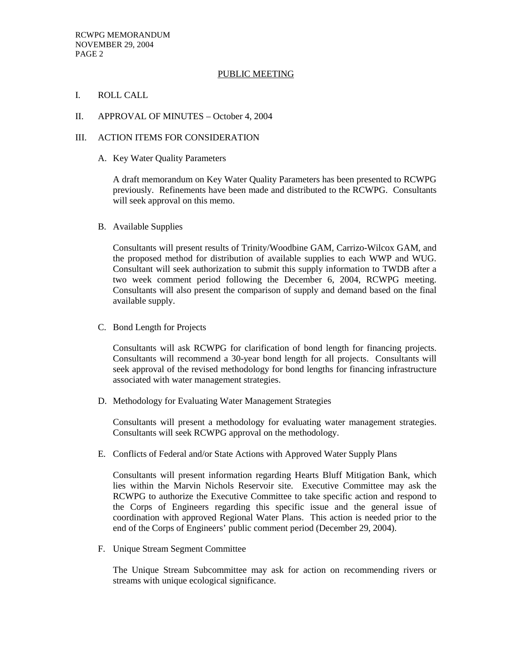## PUBLIC MEETING

- I. ROLL CALL
- II. APPROVAL OF MINUTES October 4, 2004

#### III. ACTION ITEMS FOR CONSIDERATION

A. Key Water Quality Parameters

A draft memorandum on Key Water Quality Parameters has been presented to RCWPG previously. Refinements have been made and distributed to the RCWPG. Consultants will seek approval on this memo.

B. Available Supplies

Consultants will present results of Trinity/Woodbine GAM, Carrizo-Wilcox GAM, and the proposed method for distribution of available supplies to each WWP and WUG. Consultant will seek authorization to submit this supply information to TWDB after a two week comment period following the December 6, 2004, RCWPG meeting. Consultants will also present the comparison of supply and demand based on the final available supply.

C. Bond Length for Projects

 Consultants will ask RCWPG for clarification of bond length for financing projects. Consultants will recommend a 30-year bond length for all projects. Consultants will seek approval of the revised methodology for bond lengths for financing infrastructure associated with water management strategies.

D. Methodology for Evaluating Water Management Strategies

Consultants will present a methodology for evaluating water management strategies. Consultants will seek RCWPG approval on the methodology.

E. Conflicts of Federal and/or State Actions with Approved Water Supply Plans

 Consultants will present information regarding Hearts Bluff Mitigation Bank, which lies within the Marvin Nichols Reservoir site. Executive Committee may ask the RCWPG to authorize the Executive Committee to take specific action and respond to the Corps of Engineers regarding this specific issue and the general issue of coordination with approved Regional Water Plans. This action is needed prior to the end of the Corps of Engineers' public comment period (December 29, 2004).

F. Unique Stream Segment Committee

The Unique Stream Subcommittee may ask for action on recommending rivers or streams with unique ecological significance.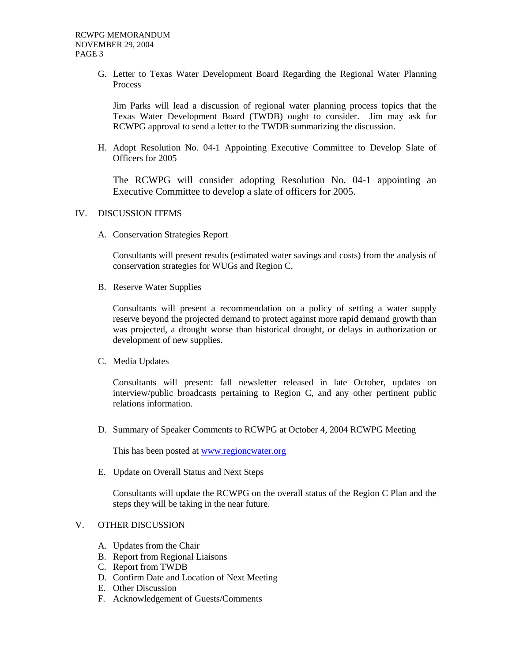G. Letter to Texas Water Development Board Regarding the Regional Water Planning Process

Jim Parks will lead a discussion of regional water planning process topics that the Texas Water Development Board (TWDB) ought to consider. Jim may ask for RCWPG approval to send a letter to the TWDB summarizing the discussion.

H. Adopt Resolution No. 04-1 Appointing Executive Committee to Develop Slate of Officers for 2005

The RCWPG will consider adopting Resolution No. 04-1 appointing an Executive Committee to develop a slate of officers for 2005.

#### IV. DISCUSSION ITEMS

A. Conservation Strategies Report

 Consultants will present results (estimated water savings and costs) from the analysis of conservation strategies for WUGs and Region C.

B. Reserve Water Supplies

 Consultants will present a recommendation on a policy of setting a water supply reserve beyond the projected demand to protect against more rapid demand growth than was projected, a drought worse than historical drought, or delays in authorization or development of new supplies.

C. Media Updates

Consultants will present: fall newsletter released in late October, updates on interview/public broadcasts pertaining to Region C, and any other pertinent public relations information.

D. Summary of Speaker Comments to RCWPG at October 4, 2004 RCWPG Meeting

This has been posted at www.regioncwater.org

E. Update on Overall Status and Next Steps

 Consultants will update the RCWPG on the overall status of the Region C Plan and the steps they will be taking in the near future.

# V. OTHER DISCUSSION

- A. Updates from the Chair
- B. Report from Regional Liaisons
- C. Report from TWDB
- D. Confirm Date and Location of Next Meeting
- E. Other Discussion
- F. Acknowledgement of Guests/Comments